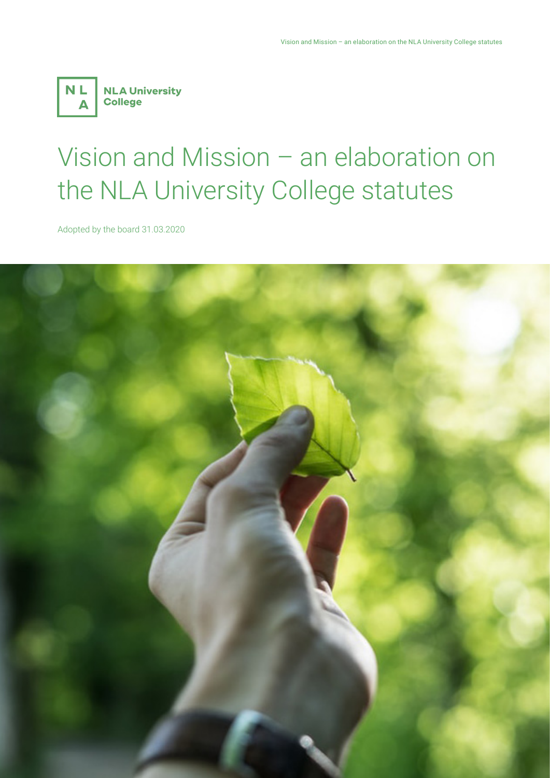

# Vision and Mission – an elaboration on the NLA University College statutes

Adopted by the board 31.03.2020

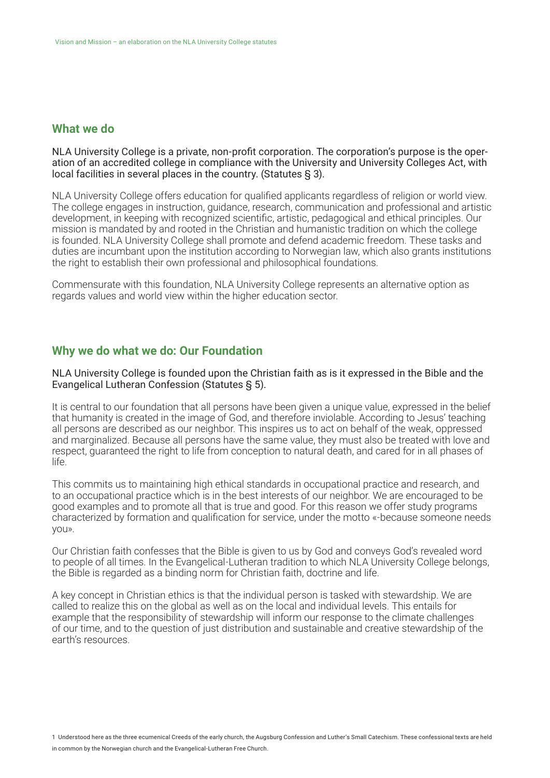## **What we do**

NLA University College is a private, non-profit corporation. The corporation's purpose is the operation of an accredited college in compliance with the University and University Colleges Act, with local facilities in several places in the country. (Statutes § 3).

NLA University College offers education for qualified applicants regardless of religion or world view. The college engages in instruction, guidance, research, communication and professional and artistic development, in keeping with recognized scientific, artistic, pedagogical and ethical principles. Our mission is mandated by and rooted in the Christian and humanistic tradition on which the college is founded. NLA University College shall promote and defend academic freedom. These tasks and duties are incumbant upon the institution according to Norwegian law, which also grants institutions the right to establish their own professional and philosophical foundations.

Commensurate with this foundation, NLA University College represents an alternative option as regards values and world view within the higher education sector.

### **Why we do what we do: Our Foundation**

#### NLA University College is founded upon the Christian faith as is it expressed in the Bible and the Evangelical Lutheran Confession (Statutes § 5).

It is central to our foundation that all persons have been given a unique value, expressed in the belief that humanity is created in the image of God, and therefore inviolable. According to Jesus' teaching all persons are described as our neighbor. This inspires us to act on behalf of the weak, oppressed and marginalized. Because all persons have the same value, they must also be treated with love and respect, guaranteed the right to life from conception to natural death, and cared for in all phases of life.

This commits us to maintaining high ethical standards in occupational practice and research, and to an occupational practice which is in the best interests of our neighbor. We are encouraged to be good examples and to promote all that is true and good. For this reason we offer study programs characterized by formation and qualification for service, under the motto «-because someone needs you».

Our Christian faith confesses that the Bible is given to us by God and conveys God's revealed word to people of all times. In the Evangelical-Lutheran tradition to which NLA University College belongs, the Bible is regarded as a binding norm for Christian faith, doctrine and life.

A key concept in Christian ethics is that the individual person is tasked with stewardship. We are called to realize this on the global as well as on the local and individual levels. This entails for example that the responsibility of stewardship will inform our response to the climate challenges of our time, and to the question of just distribution and sustainable and creative stewardship of the earth's resources.

1 Understood here as the three ecumenical Creeds of the early church, the Augsburg Confession and Luther's Small Catechism. These confessional texts are held in common by the Norwegian church and the Evangelical-Lutheran Free Church.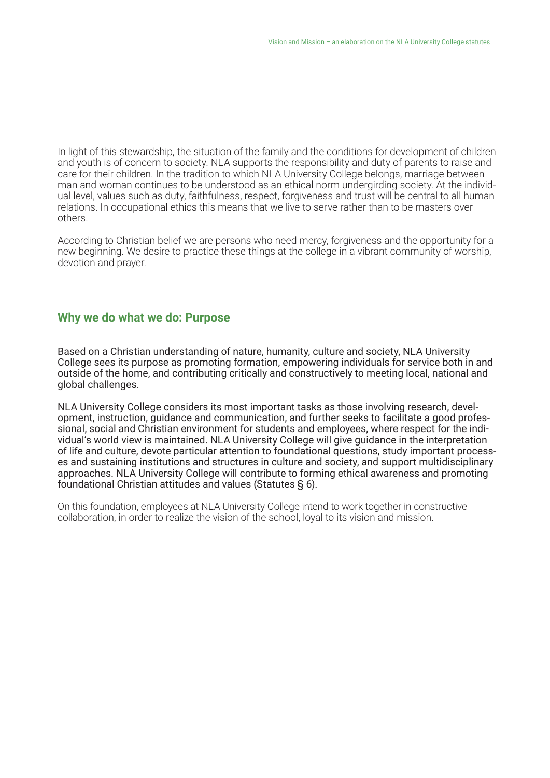In light of this stewardship, the situation of the family and the conditions for development of children and youth is of concern to society. NLA supports the responsibility and duty of parents to raise and care for their children. In the tradition to which NLA University College belongs, marriage between man and woman continues to be understood as an ethical norm undergirding society. At the individual level, values such as duty, faithfulness, respect, forgiveness and trust will be central to all human relations. In occupational ethics this means that we live to serve rather than to be masters over others.

According to Christian belief we are persons who need mercy, forgiveness and the opportunity for a new beginning. We desire to practice these things at the college in a vibrant community of worship, devotion and prayer.

### **Why we do what we do: Purpose**

Based on a Christian understanding of nature, humanity, culture and society, NLA University College sees its purpose as promoting formation, empowering individuals for service both in and outside of the home, and contributing critically and constructively to meeting local, national and global challenges.

NLA University College considers its most important tasks as those involving research, development, instruction, guidance and communication, and further seeks to facilitate a good professional, social and Christian environment for students and employees, where respect for the individual's world view is maintained. NLA University College will give guidance in the interpretation of life and culture, devote particular attention to foundational questions, study important processes and sustaining institutions and structures in culture and society, and support multidisciplinary approaches. NLA University College will contribute to forming ethical awareness and promoting foundational Christian attitudes and values (Statutes § 6).

On this foundation, employees at NLA University College intend to work together in constructive collaboration, in order to realize the vision of the school, loyal to its vision and mission.